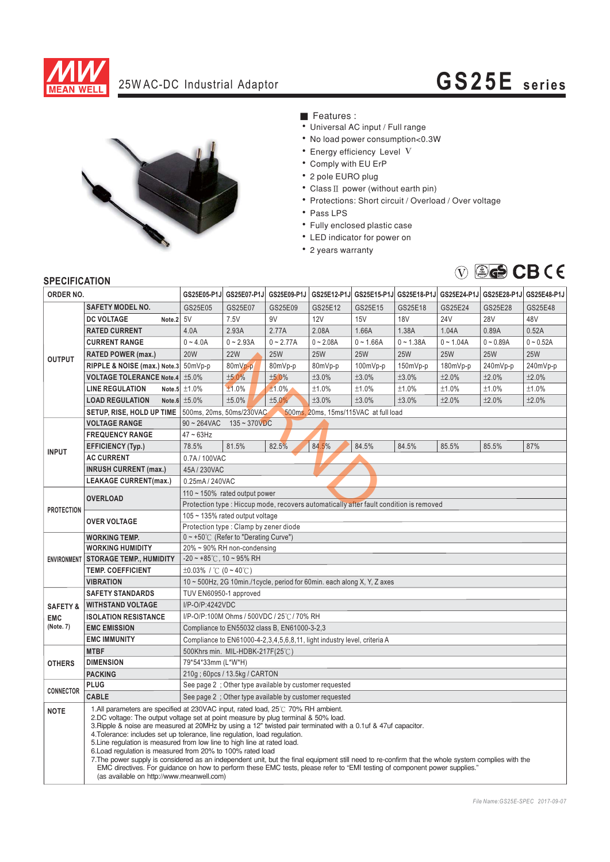

## 25W AC-DC Industrial Adaptor **GS25E series**



■ Features :

- Universal AC input / Full range
- No load power consumption<0.3W
- $\bullet$  Energy efficiency Level V
- Comply with EU ErP
- 2 pole EURO plug
- Class  $II$  power (without earth pin)
- Protections: Short circuit / Overload / Over voltage
- Pass LPS
- Fully enclosed plastic case
- LED indicator for power on
- 2 years warranty



| ORDER NO.                                      |                                                                                                                                                                                                                                                                                                                                                                                                                                                                                                                                                                                                                                                                                                                                                                                                                                                  |                                                                                         |                 | GS25E05-P1J GS25E07-P1J GS25E09-P1J |             |             |             |             | GS25E12-P1J GS25E15-P1J GS25E18-P1J GS25E24-P1J GS25E28-P1J GS25E48-P1J |             |
|------------------------------------------------|--------------------------------------------------------------------------------------------------------------------------------------------------------------------------------------------------------------------------------------------------------------------------------------------------------------------------------------------------------------------------------------------------------------------------------------------------------------------------------------------------------------------------------------------------------------------------------------------------------------------------------------------------------------------------------------------------------------------------------------------------------------------------------------------------------------------------------------------------|-----------------------------------------------------------------------------------------|-----------------|-------------------------------------|-------------|-------------|-------------|-------------|-------------------------------------------------------------------------|-------------|
|                                                | <b>SAFETY MODEL NO.</b>                                                                                                                                                                                                                                                                                                                                                                                                                                                                                                                                                                                                                                                                                                                                                                                                                          | GS25E05                                                                                 | GS25E07         | GS25E09                             | GS25E12     | GS25E15     | GS25E18     | GS25E24     | GS25E28                                                                 | GS25E48     |
| <b>OUTPUT</b>                                  | Note.2 5V<br><b>DC VOLTAGE</b>                                                                                                                                                                                                                                                                                                                                                                                                                                                                                                                                                                                                                                                                                                                                                                                                                   |                                                                                         | 7.5V            | 9V                                  | 12V         | 15V         | <b>18V</b>  | 24V         | <b>28V</b>                                                              | 48V         |
|                                                | <b>RATED CURRENT</b>                                                                                                                                                                                                                                                                                                                                                                                                                                                                                                                                                                                                                                                                                                                                                                                                                             | 4.0A                                                                                    | 2.93A           | 2.77A                               | 2.08A       | 1.66A       | 1.38A       | 1.04A       | 0.89A                                                                   | 0.52A       |
|                                                | <b>CURRENT RANGE</b>                                                                                                                                                                                                                                                                                                                                                                                                                                                                                                                                                                                                                                                                                                                                                                                                                             | $0 - 4.0A$                                                                              | $0 - 2.93A$     | $0 - 2.77A$                         | $0 - 2.08A$ | $0 - 1.66A$ | $0 - 1.38A$ | $0 - 1.04A$ | $0 - 0.89A$                                                             | $0 - 0.52A$ |
|                                                | <b>RATED POWER (max.)</b>                                                                                                                                                                                                                                                                                                                                                                                                                                                                                                                                                                                                                                                                                                                                                                                                                        | <b>20W</b>                                                                              | <b>22W</b>      | <b>25W</b>                          | <b>25W</b>  | <b>25W</b>  | <b>25W</b>  | <b>25W</b>  | <b>25W</b>                                                              | <b>25W</b>  |
|                                                | RIPPLE & NOISE (max.) Note.3 50mVp-p                                                                                                                                                                                                                                                                                                                                                                                                                                                                                                                                                                                                                                                                                                                                                                                                             |                                                                                         | 80mVp-p         | 80mVp-p                             | 80mVp-p     | 100mVp-p    | 150mVp-p    | 180mVp-p    | 240mVp-p                                                                | 240mVp-p    |
|                                                | <b>VOLTAGE TOLERANCE Note.4</b>                                                                                                                                                                                                                                                                                                                                                                                                                                                                                                                                                                                                                                                                                                                                                                                                                  | ±5.0%                                                                                   | ±5.0%           | ±5.0%                               | ±3.0%       | ±3.0%       | ±3.0%       | ±2.0%       | ±2.0%                                                                   | ±2.0%       |
|                                                | <b>LINE REGULATION</b>                                                                                                                                                                                                                                                                                                                                                                                                                                                                                                                                                                                                                                                                                                                                                                                                                           | Note.5 $\pm 1.0\%$                                                                      | ±1.0%           | $±1.0\%$                            | $\pm 1.0\%$ | ±1.0%       | $\pm 1.0\%$ | ±1.0%       | ±1.0%                                                                   | ±1.0%       |
|                                                | <b>LOAD REGULATION</b>                                                                                                                                                                                                                                                                                                                                                                                                                                                                                                                                                                                                                                                                                                                                                                                                                           | Note.6 $±5.0\%$                                                                         | ±5.0%           | ±5.0%                               | ±3.0%       | ±3.0%       | ±3.0%       | ±2.0%       | ±2.0%                                                                   | ±2.0%       |
|                                                | SETUP, RISE, HOLD UP TIME   500ms, 20ms, 50ms/230VAC                                                                                                                                                                                                                                                                                                                                                                                                                                                                                                                                                                                                                                                                                                                                                                                             | 500ms, 20ms, 15ms/115VAC at full load                                                   |                 |                                     |             |             |             |             |                                                                         |             |
|                                                | <b>VOLTAGE RANGE</b>                                                                                                                                                                                                                                                                                                                                                                                                                                                                                                                                                                                                                                                                                                                                                                                                                             | $90 - 264$ VAC<br>$135 - 370$ VDC                                                       |                 |                                     |             |             |             |             |                                                                         |             |
| <b>INPUT</b>                                   | <b>FREQUENCY RANGE</b>                                                                                                                                                                                                                                                                                                                                                                                                                                                                                                                                                                                                                                                                                                                                                                                                                           | $47 - 63$ Hz                                                                            |                 |                                     |             |             |             |             |                                                                         |             |
|                                                | <b>EFFICIENCY (Typ.)</b>                                                                                                                                                                                                                                                                                                                                                                                                                                                                                                                                                                                                                                                                                                                                                                                                                         | 78.5%                                                                                   | 81.5%           | 82.5%                               | 84.5%       | 84.5%       | 84.5%       | 85.5%       | 85.5%                                                                   | 87%         |
|                                                | <b>AC CURRENT</b>                                                                                                                                                                                                                                                                                                                                                                                                                                                                                                                                                                                                                                                                                                                                                                                                                                | 0.7A/100VAC                                                                             |                 |                                     |             |             |             |             |                                                                         |             |
|                                                | <b>INRUSH CURRENT (max.)</b>                                                                                                                                                                                                                                                                                                                                                                                                                                                                                                                                                                                                                                                                                                                                                                                                                     | 45A / 230VAC                                                                            |                 |                                     |             |             |             |             |                                                                         |             |
|                                                | <b>LEAKAGE CURRENT(max.)</b>                                                                                                                                                                                                                                                                                                                                                                                                                                                                                                                                                                                                                                                                                                                                                                                                                     |                                                                                         | 0.25mA / 240VAC |                                     |             |             |             |             |                                                                         |             |
| <b>PROTECTION</b>                              | <b>OVERLOAD</b>                                                                                                                                                                                                                                                                                                                                                                                                                                                                                                                                                                                                                                                                                                                                                                                                                                  | 110 $\sim$ 150% rated output power                                                      |                 |                                     |             |             |             |             |                                                                         |             |
|                                                |                                                                                                                                                                                                                                                                                                                                                                                                                                                                                                                                                                                                                                                                                                                                                                                                                                                  | Protection type : Hiccup mode, recovers automatically after fault condition is removed  |                 |                                     |             |             |             |             |                                                                         |             |
|                                                | <b>OVER VOLTAGE</b>                                                                                                                                                                                                                                                                                                                                                                                                                                                                                                                                                                                                                                                                                                                                                                                                                              | 105 ~ 135% rated output voltage                                                         |                 |                                     |             |             |             |             |                                                                         |             |
|                                                |                                                                                                                                                                                                                                                                                                                                                                                                                                                                                                                                                                                                                                                                                                                                                                                                                                                  | Protection type: Clamp by zener diode                                                   |                 |                                     |             |             |             |             |                                                                         |             |
| <b>ENVIRONMENT</b>                             | <b>WORKING TEMP.</b>                                                                                                                                                                                                                                                                                                                                                                                                                                                                                                                                                                                                                                                                                                                                                                                                                             | $0 \sim +50^{\circ}$ (Refer to "Derating Curve")                                        |                 |                                     |             |             |             |             |                                                                         |             |
|                                                | <b>WORKING HUMIDITY</b>                                                                                                                                                                                                                                                                                                                                                                                                                                                                                                                                                                                                                                                                                                                                                                                                                          | 20% ~ 90% RH non-condensing                                                             |                 |                                     |             |             |             |             |                                                                         |             |
|                                                | <b>STORAGE TEMP., HUMIDITY</b>                                                                                                                                                                                                                                                                                                                                                                                                                                                                                                                                                                                                                                                                                                                                                                                                                   | $-20 \sim +85^{\circ}$ C, 10 ~ 95% RH                                                   |                 |                                     |             |             |             |             |                                                                         |             |
|                                                | <b>TEMP. COEFFICIENT</b>                                                                                                                                                                                                                                                                                                                                                                                                                                                                                                                                                                                                                                                                                                                                                                                                                         | $\pm 0.03\%$ / °C (0 ~ 40°C)                                                            |                 |                                     |             |             |             |             |                                                                         |             |
|                                                | <b>VIBRATION</b>                                                                                                                                                                                                                                                                                                                                                                                                                                                                                                                                                                                                                                                                                                                                                                                                                                 | $10 \sim 500$ Hz, 2G 10min./1cycle, period for 60min. each along X, Y, Z axes           |                 |                                     |             |             |             |             |                                                                         |             |
| <b>SAFETY &amp;</b><br><b>EMC</b><br>(Note. 7) | <b>SAFETY STANDARDS</b>                                                                                                                                                                                                                                                                                                                                                                                                                                                                                                                                                                                                                                                                                                                                                                                                                          | TUV EN60950-1 approved                                                                  |                 |                                     |             |             |             |             |                                                                         |             |
|                                                | <b>WITHSTAND VOLTAGE</b><br><b>ISOLATION RESISTANCE</b>                                                                                                                                                                                                                                                                                                                                                                                                                                                                                                                                                                                                                                                                                                                                                                                          | I/P-O/P:4242VDC                                                                         |                 |                                     |             |             |             |             |                                                                         |             |
|                                                | <b>EMC EMISSION</b>                                                                                                                                                                                                                                                                                                                                                                                                                                                                                                                                                                                                                                                                                                                                                                                                                              | I/P-O/P:100M Ohms / 500VDC / 25℃/70% RH<br>Compliance to EN55032 class B, EN61000-3-2,3 |                 |                                     |             |             |             |             |                                                                         |             |
|                                                | <b>EMC IMMUNITY</b>                                                                                                                                                                                                                                                                                                                                                                                                                                                                                                                                                                                                                                                                                                                                                                                                                              | Compliance to EN61000-4-2,3,4,5,6,8,11, light industry level, criteria A                |                 |                                     |             |             |             |             |                                                                         |             |
|                                                | <b>MTBF</b>                                                                                                                                                                                                                                                                                                                                                                                                                                                                                                                                                                                                                                                                                                                                                                                                                                      | 500Khrs min. MIL-HDBK-217F(25℃)                                                         |                 |                                     |             |             |             |             |                                                                         |             |
| <b>OTHERS</b>                                  | <b>DIMENSION</b>                                                                                                                                                                                                                                                                                                                                                                                                                                                                                                                                                                                                                                                                                                                                                                                                                                 | 79*54*33mm (L*W*H)                                                                      |                 |                                     |             |             |             |             |                                                                         |             |
|                                                | <b>PACKING</b>                                                                                                                                                                                                                                                                                                                                                                                                                                                                                                                                                                                                                                                                                                                                                                                                                                   | 210g; 60pcs / 13.5kg / CARTON                                                           |                 |                                     |             |             |             |             |                                                                         |             |
| <b>CONNECTOR</b>                               | <b>PLUG</b>                                                                                                                                                                                                                                                                                                                                                                                                                                                                                                                                                                                                                                                                                                                                                                                                                                      | See page 2 ; Other type available by customer requested                                 |                 |                                     |             |             |             |             |                                                                         |             |
|                                                | <b>CABLE</b>                                                                                                                                                                                                                                                                                                                                                                                                                                                                                                                                                                                                                                                                                                                                                                                                                                     | See page 2; Other type available by customer requested                                  |                 |                                     |             |             |             |             |                                                                         |             |
| <b>NOTE</b>                                    | 1.All parameters are specified at 230VAC input, rated load, 25°C 70% RH ambient.<br>2.DC voltage: The output voltage set at point measure by plug terminal & 50% load.<br>3. Ripple & noise are measured at 20MHz by using a 12" twisted pair terminated with a 0.1uf & 47uf capacitor.<br>4. Tolerance: includes set up tolerance, line regulation, load regulation.<br>5. Line regulation is measured from low line to high line at rated load.<br>6. Load regulation is measured from 20% to 100% rated load<br>7. The power supply is considered as an independent unit, but the final equipment still need to re-confirm that the whole system complies with the<br>EMC directives. For quidance on how to perform these EMC tests, please refer to "EMI testing of component power supplies."<br>(as available on http://www.meanwell.com) |                                                                                         |                 |                                     |             |             |             |             |                                                                         |             |